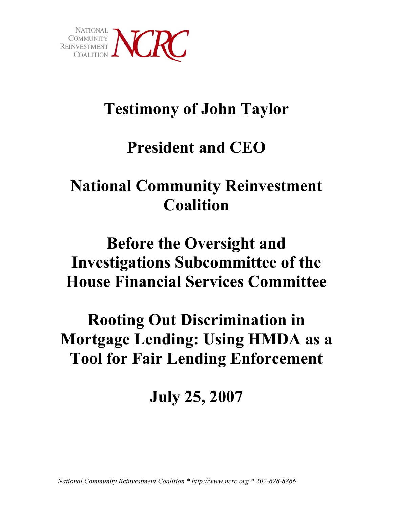

# **Testimony of John Taylor**

# **President and CEO**

# **National Community Reinvestment Coalition**

# **Before the Oversight and Investigations Subcommittee of the House Financial Services Committee**

# **Rooting Out Discrimination in Mortgage Lending: Using HMDA as a Tool for Fair Lending Enforcement**

# **July 25, 2007**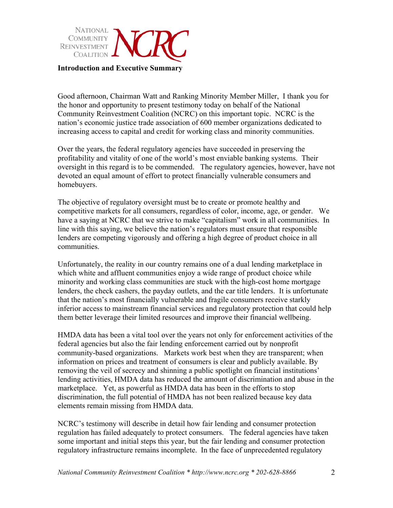

Good afternoon, Chairman Watt and Ranking Minority Member Miller, I thank you for the honor and opportunity to present testimony today on behalf of the National Community Reinvestment Coalition (NCRC) on this important topic. NCRC is the nation's economic justice trade association of 600 member organizations dedicated to increasing access to capital and credit for working class and minority communities.

Over the years, the federal regulatory agencies have succeeded in preserving the profitability and vitality of one of the world's most enviable banking systems. Their oversight in this regard is to be commended. The regulatory agencies, however, have not devoted an equal amount of effort to protect financially vulnerable consumers and homebuyers.

The objective of regulatory oversight must be to create or promote healthy and competitive markets for all consumers, regardless of color, income, age, or gender. We have a saying at NCRC that we strive to make "capitalism" work in all communities. In line with this saying, we believe the nation's regulators must ensure that responsible lenders are competing vigorously and offering a high degree of product choice in all communities.

Unfortunately, the reality in our country remains one of a dual lending marketplace in which white and affluent communities enjoy a wide range of product choice while minority and working class communities are stuck with the high-cost home mortgage lenders, the check cashers, the payday outlets, and the car title lenders. It is unfortunate that the nation's most financially vulnerable and fragile consumers receive starkly inferior access to mainstream financial services and regulatory protection that could help them better leverage their limited resources and improve their financial wellbeing.

HMDA data has been a vital tool over the years not only for enforcement activities of the federal agencies but also the fair lending enforcement carried out by nonprofit community-based organizations. Markets work best when they are transparent; when information on prices and treatment of consumers is clear and publicly available. By removing the veil of secrecy and shinning a public spotlight on financial institutions' lending activities, HMDA data has reduced the amount of discrimination and abuse in the marketplace. Yet, as powerful as HMDA data has been in the efforts to stop discrimination, the full potential of HMDA has not been realized because key data elements remain missing from HMDA data.

NCRC's testimony will describe in detail how fair lending and consumer protection regulation has failed adequately to protect consumers. The federal agencies have taken some important and initial steps this year, but the fair lending and consumer protection regulatory infrastructure remains incomplete. In the face of unprecedented regulatory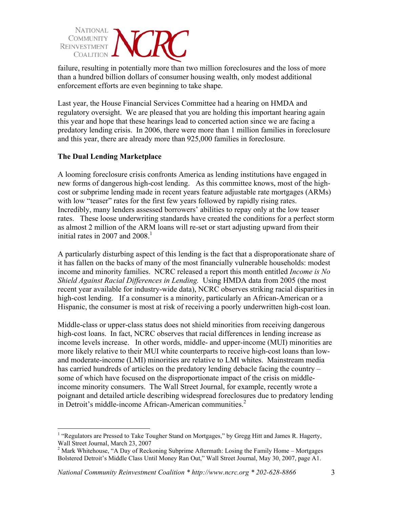

failure, resulting in potentially more than two million foreclosures and the loss of more than a hundred billion dollars of consumer housing wealth, only modest additional enforcement efforts are even beginning to take shape.

Last year, the House Financial Services Committee had a hearing on HMDA and regulatory oversight. We are pleased that you are holding this important hearing again this year and hope that these hearings lead to concerted action since we are facing a predatory lending crisis. In 2006, there were more than 1 million families in foreclosure and this year, there are already more than 925,000 families in foreclosure.

## **The Dual Lending Marketplace**

 $\overline{a}$ 

A looming foreclosure crisis confronts America as lending institutions have engaged in new forms of dangerous high-cost lending. As this committee knows, most of the highcost or subprime lending made in recent years feature adjustable rate mortgages (ARMs) with low "teaser" rates for the first few years followed by rapidly rising rates. Incredibly, many lenders assessed borrowers' abilities to repay only at the low teaser rates. These loose underwriting standards have created the conditions for a perfect storm as almost 2 million of the ARM loans will re-set or start adjusting upward from their initial rates in 2007 and  $2008<sup>1</sup>$ 

A particularly disturbing aspect of this lending is the fact that a disproporationate share of it has fallen on the backs of many of the most financially vulnerable households: modest income and minority families. NCRC released a report this month entitled *Income is No Shield Against Racial Differences in Lending.* Using HMDA data from 2005 (the most recent year available for industry-wide data), NCRC observes striking racial disparities in high-cost lending. If a consumer is a minority, particularly an African-American or a Hispanic, the consumer is most at risk of receiving a poorly underwritten high-cost loan.

Middle-class or upper-class status does not shield minorities from receiving dangerous high-cost loans. In fact, NCRC observes that racial differences in lending increase as income levels increase. In other words, middle- and upper-income (MUI) minorities are more likely relative to their MUI white counterparts to receive high-cost loans than lowand moderate-income (LMI) minorities are relative to LMI whites. Mainstream media has carried hundreds of articles on the predatory lending debacle facing the country – some of which have focused on the disproportionate impact of the crisis on middleincome minority consumers. The Wall Street Journal, for example, recently wrote a poignant and detailed article describing widespread foreclosures due to predatory lending in Detroit's middle-income African-American communities. 2

<sup>&</sup>lt;sup>1</sup> "Regulators are Pressed to Take Tougher Stand on Mortgages," by Gregg Hitt and James R. Hagerty, Wall Street Journal, March  $23, 2007$ 

 $2$  Mark Whitehouse, "A Day of Reckoning Subprime Aftermath: Losing the Family Home – Mortgages Bolstered Detroit's Middle Class Until Money Ran Out," Wall Street Journal, May 30, 2007, page A1.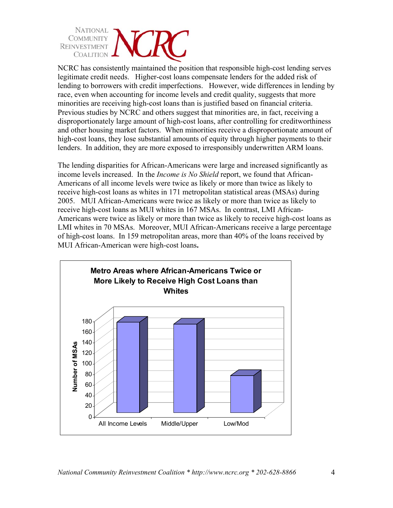

NCRC has consistently maintained the position that responsible high-cost lending serves legitimate credit needs. Higher-cost loans compensate lenders for the added risk of lending to borrowers with credit imperfections. However, wide differences in lending by race, even when accounting for income levels and credit quality, suggests that more minorities are receiving high-cost loans than is justified based on financial criteria. Previous studies by NCRC and others suggest that minorities are, in fact, receiving a disproportionately large amount of high-cost loans, after controlling for creditworthiness and other housing market factors. When minorities receive a disproportionate amount of high-cost loans, they lose substantial amounts of equity through higher payments to their lenders. In addition, they are more exposed to irresponsibly underwritten ARM loans.

The lending disparities for African-Americans were large and increased significantly as income levels increased. In the *Income is No Shield* report, we found that African-Americans of all income levels were twice as likely or more than twice as likely to receive high-cost loans as whites in 171 metropolitan statistical areas (MSAs) during 2005. MUI African-Americans were twice as likely or more than twice as likely to receive high-cost loans as MUI whites in 167 MSAs. In contrast, LMI African-Americans were twice as likely or more than twice as likely to receive high-cost loans as LMI whites in 70 MSAs. Moreover, MUI African-Americans receive a large percentage of high-cost loans. In 159 metropolitan areas, more than 40% of the loans received by MUI African-American were high-cost loans**.** 

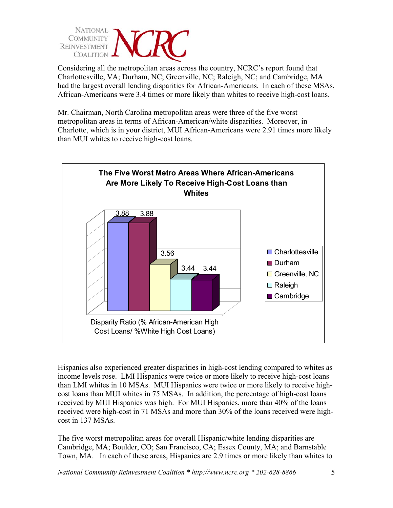

Considering all the metropolitan areas across the country, NCRC's report found that Charlottesville, VA; Durham, NC; Greenville, NC; Raleigh, NC; and Cambridge, MA had the largest overall lending disparities for African-Americans. In each of these MSAs, African-Americans were 3.4 times or more likely than whites to receive high-cost loans.

Mr. Chairman, North Carolina metropolitan areas were three of the five worst metropolitan areas in terms of African-American/white disparities. Moreover, in Charlotte, which is in your district, MUI African-Americans were 2.91 times more likely than MUI whites to receive high-cost loans.



Hispanics also experienced greater disparities in high-cost lending compared to whites as income levels rose. LMI Hispanics were twice or more likely to receive high-cost loans than LMI whites in 10 MSAs. MUI Hispanics were twice or more likely to receive highcost loans than MUI whites in 75 MSAs. In addition, the percentage of high-cost loans received by MUI Hispanics was high. For MUI Hispanics, more than 40% of the loans received were high-cost in 71 MSAs and more than 30% of the loans received were highcost in 137 MSAs.

The five worst metropolitan areas for overall Hispanic/white lending disparities are Cambridge, MA; Boulder, CO; San Francisco, CA; Essex County, MA; and Barnstable Town, MA. In each of these areas, Hispanics are 2.9 times or more likely than whites to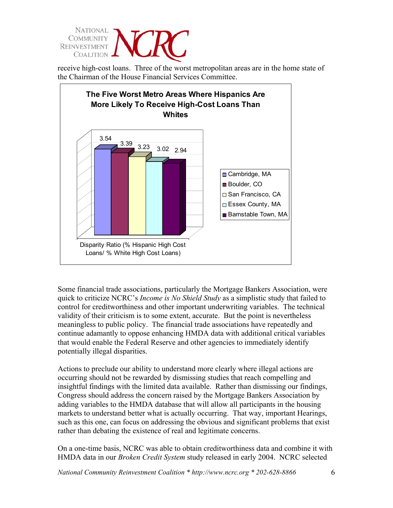

receive high-cost loans. Three of the worst metropolitan areas are in the home state of the Chairman of the House Financial Services Committee.



Some financial trade associations, particularly the Mortgage Bankers Association, were quick to criticize NCRC's *Income is No Shield Study* as a simplistic study that failed to control for creditworthiness and other important underwriting variables. The technical validity of their criticism is to some extent, accurate. But the point is nevertheless meaningless to public policy. The financial trade associations have repeatedly and continue adamantly to oppose enhancing HMDA data with additional critical variables that would enable the Federal Reserve and other agencies to immediately identify potentially illegal disparities.

Actions to preclude our ability to understand more clearly where illegal actions are occurring should not be rewarded by dismissing studies that reach compelling and insightful findings with the limited data available. Rather than dismissing our findings, Congress should address the concern raised by the Mortgage Bankers Association by adding variables to the HMDA database that will allow all participants in the housing markets to understand better what is actually occurring. That way, important Hearings, such as this one, can focus on addressing the obvious and significant problems that exist rather than debating the existence of real and legitimate concerns.

On a one-time basis, NCRC was able to obtain creditworthiness data and combine it with HMDA data in our *Broken Credit System* study released in early 2004. NCRC selected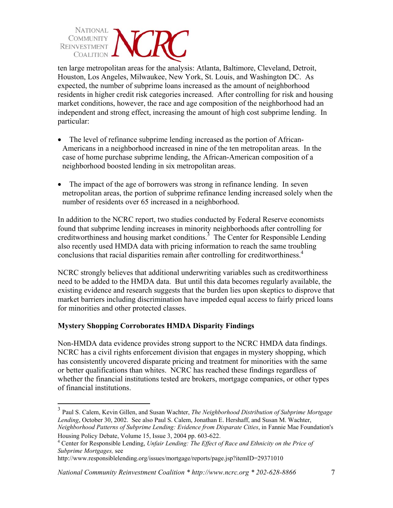

ten large metropolitan areas for the analysis: Atlanta, Baltimore, Cleveland, Detroit, Houston, Los Angeles, Milwaukee, New York, St. Louis, and Washington DC. As expected, the number of subprime loans increased as the amount of neighborhood residents in higher credit risk categories increased. After controlling for risk and housing market conditions, however, the race and age composition of the neighborhood had an independent and strong effect, increasing the amount of high cost subprime lending. In particular:

- ! The level of refinance subprime lending increased as the portion of African-Americans in a neighborhood increased in nine of the ten metropolitan areas. In the case of home purchase subprime lending, the African-American composition of a neighborhood boosted lending in six metropolitan areas.
- ! The impact of the age of borrowers was strong in refinance lending. In seven metropolitan areas, the portion of subprime refinance lending increased solely when the number of residents over 65 increased in a neighborhood.

In addition to the NCRC report, two studies conducted by Federal Reserve economists found that subprime lending increases in minority neighborhoods after controlling for creditworthiness and housing market conditions.<sup>3</sup> The Center for Responsible Lending also recently used HMDA data with pricing information to reach the same troubling conclusions that racial disparities remain after controlling for creditworthiness. 4

NCRC strongly believes that additional underwriting variables such as creditworthiness need to be added to the HMDA data. But until this data becomes regularly available, the existing evidence and research suggests that the burden lies upon skeptics to disprove that market barriers including discrimination have impeded equal access to fairly priced loans for minorities and other protected classes.

## **Mystery Shopping Corroborates HMDA Disparity Findings**

 $\overline{a}$ 

Non-HMDA data evidence provides strong support to the NCRC HMDA data findings. NCRC has a civil rights enforcement division that engages in mystery shopping, which has consistently uncovered disparate pricing and treatment for minorities with the same or better qualifications than whites. NCRC has reached these findings regardless of whether the financial institutions tested are brokers, mortgage companies, or other types of financial institutions.

<sup>3</sup> Paul S. Calem, Kevin Gillen, and Susan Wachter, *The Neighborhood Distribution of Subprime Mortgage Lending*, October 30, 2002. See also Paul S. Calem, Jonathan E. Hershaff, and Susan M. Wachter, *Neighborhood Patterns of Subprime Lending: Evidence from Disparate Cities*, in Fannie Mae Foundation's Housing Policy Debate, Volume 15, Issue 3, 2004 pp. 603-622.

<sup>4</sup> Center for Responsible Lending, *Unfair Lending: The Effect of Race and Ethnicity on the Price of*

*Subprime Mortgages,* see http://www.responsiblelending.org/issues/mortgage/reports/page.jsp?itemID=29371010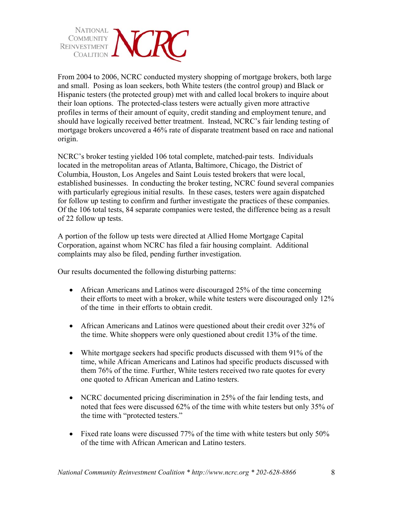

From 2004 to 2006, NCRC conducted mystery shopping of mortgage brokers, both large and small. Posing as loan seekers, both White testers (the control group) and Black or Hispanic testers (the protected group) met with and called local brokers to inquire about their loan options. The protected-class testers were actually given more attractive profiles in terms of their amount of equity, credit standing and employment tenure, and should have logically received better treatment. Instead, NCRC's fair lending testing of mortgage brokers uncovered a 46% rate of disparate treatment based on race and national origin.

NCRC's broker testing yielded 106 total complete, matched-pair tests. Individuals located in the metropolitan areas of Atlanta, Baltimore, Chicago, the District of Columbia, Houston, Los Angeles and Saint Louis tested brokers that were local, established businesses. In conducting the broker testing, NCRC found several companies with particularly egregious initial results. In these cases, testers were again dispatched for follow up testing to confirm and further investigate the practices of these companies. Of the 106 total tests, 84 separate companies were tested, the difference being as a result of 22 follow up tests.

A portion of the follow up tests were directed at Allied Home Mortgage Capital Corporation, against whom NCRC has filed a fair housing complaint. Additional complaints may also be filed, pending further investigation.

Our results documented the following disturbing patterns:

- African Americans and Latinos were discouraged 25% of the time concerning their efforts to meet with a broker, while white testers were discouraged only 12% of the time in their efforts to obtain credit.
- African Americans and Latinos were questioned about their credit over 32% of the time. White shoppers were only questioned about credit 13% of the time.
- White mortgage seekers had specific products discussed with them 91% of the time, while African Americans and Latinos had specific products discussed with them 76% of the time. Further, White testers received two rate quotes for every one quoted to African American and Latino testers.
- NCRC documented pricing discrimination in 25% of the fair lending tests, and noted that fees were discussed 62% of the time with white testers but only 35% of the time with "protected testers."
- Fixed rate loans were discussed 77% of the time with white testers but only 50% of the time with African American and Latino testers.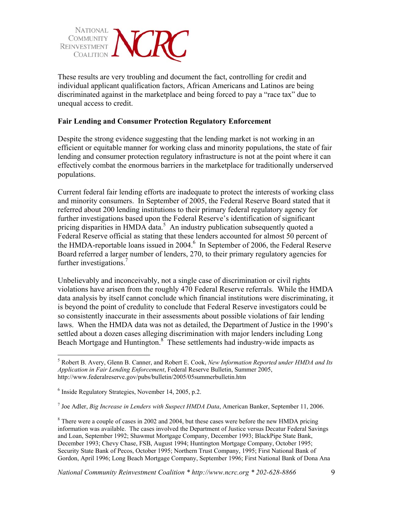

These results are very troubling and document the fact, controlling for credit and individual applicant qualification factors, African Americans and Latinos are being discriminated against in the marketplace and being forced to pay a "race tax" due to unequal access to credit.

#### **Fair Lending and Consumer Protection Regulatory Enforcement**

Despite the strong evidence suggesting that the lending market is not working in an efficient or equitable manner for working class and minority populations, the state of fair lending and consumer protection regulatory infrastructure is not at the point where it can effectively combat the enormous barriers in the marketplace for traditionally underserved populations.

Current federal fair lending efforts are inadequate to protect the interests of working class and minority consumers. In September of 2005, the Federal Reserve Board stated that it referred about 200 lending institutions to their primary federal regulatory agency for further investigations based upon the Federal Reserve's identification of significant pricing disparities in HMDA data.<sup>5</sup> An industry publication subsequently quoted a Federal Reserve official as stating that these lenders accounted for almost 50 percent of the HMDA-reportable loans issued in 2004.<sup>6</sup> In September of 2006, the Federal Reserve Board referred a larger number of lenders, 270, to their primary regulatory agencies for further investigations. 7

Unbelievably and inconceivably, not a single case of discrimination or civil rights violations have arisen from the roughly 470 Federal Reserve referrals. While the HMDA data analysis by itself cannot conclude which financial institutions were discriminating, it is beyond the point of credulity to conclude that Federal Reserve investigators could be so consistently inaccurate in their assessments about possible violations of fair lending laws. When the HMDA data was not as detailed, the Department of Justice in the 1990's settled about a dozen cases alleging discrimination with major lenders including Long Beach Mortgage and Huntington.<sup>8</sup> These settlements had industry-wide impacts as

1

<sup>7</sup> Joe Adler, *Big Increase in Lenders with Suspect HMDA Data*, American Banker, September 11, 2006.

<sup>5</sup> Robert B. Avery, Glenn B. Canner, and Robert E. Cook, *New Information Reported under HMDA and Its Application in Fair Lending Enforcement*, Federal Reserve Bulletin, Summer 2005, http://www.federalreserve.gov/pubs/bulletin/2005/05summerbulletin.htm

 $6$  Inside Regulatory Strategies, November 14, 2005, p.2.

<sup>&</sup>lt;sup>8</sup> There were a couple of cases in 2002 and 2004, but these cases were before the new HMDA pricing information was available. The cases involved the Department of Justice versus Decatur Federal Savings and Loan, September 1992; Shawmut Mortgage Company, December 1993; BlackPipe State Bank, December 1993; Chevy Chase, FSB, August 1994; Huntington Mortgage Company, October 1995; Security State Bank of Pecos, October 1995; Northern Trust Company, 1995; First National Bank of Gordon, April 1996; Long Beach Mortgage Company, September 1996; First National Bank of Dona Ana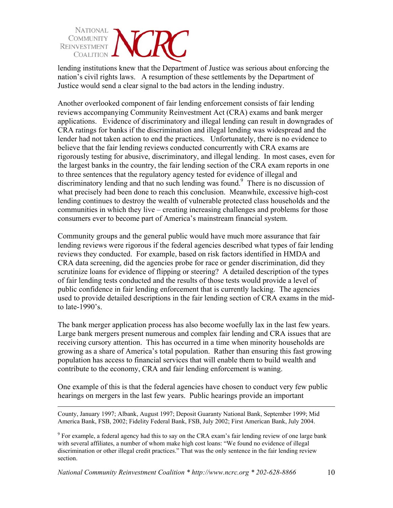

lending institutions knew that the Department of Justice was serious about enforcing the nation's civil rights laws. A resumption of these settlements by the Department of Justice would send a clear signal to the bad actors in the lending industry.

Another overlooked component of fair lending enforcement consists of fair lending reviews accompanying Community Reinvestment Act (CRA) exams and bank merger applications. Evidence of discriminatory and illegal lending can result in downgrades of CRA ratings for banks if the discrimination and illegal lending was widespread and the lender had not taken action to end the practices. Unfortunately, there is no evidence to believe that the fair lending reviews conducted concurrently with CRA exams are rigorously testing for abusive, discriminatory, and illegal lending. In most cases, even for the largest banks in the country, the fair lending section of the CRA exam reports in one to three sentences that the regulatory agency tested for evidence of illegal and discriminatory lending and that no such lending was found.<sup>9</sup> There is no discussion of what precisely had been done to reach this conclusion. Meanwhile, excessive high-cost lending continues to destroy the wealth of vulnerable protected class households and the communities in which they live – creating increasing challenges and problems for those consumers ever to become part of America's mainstream financial system.

Community groups and the general public would have much more assurance that fair lending reviews were rigorous if the federal agencies described what types of fair lending reviews they conducted. For example, based on risk factors identified in HMDA and CRA data screening, did the agencies probe for race or gender discrimination, did they scrutinize loans for evidence of flipping or steering? A detailed description of the types of fair lending tests conducted and the results of those tests would provide a level of public confidence in fair lending enforcement that is currently lacking. The agencies used to provide detailed descriptions in the fair lending section of CRA exams in the midto late-1990's.

The bank merger application process has also become woefully lax in the last few years. Large bank mergers present numerous and complex fair lending and CRA issues that are receiving cursory attention. This has occurred in a time when minority households are growing as a share of America's total population. Rather than ensuring this fast growing population has access to financial services that will enable them to build wealth and contribute to the economy, CRA and fair lending enforcement is waning.

One example of this is that the federal agencies have chosen to conduct very few public hearings on mergers in the last few years. Public hearings provide an important

 County, January 1997; Albank, August 1997; Deposit Guaranty National Bank, September 1999; Mid America Bank, FSB, 2002; Fidelity Federal Bank, FSB, July 2002; First American Bank, July 2004.

<sup>9</sup> For example, a federal agency had this to say on the CRA exam's fair lending review of one large bank with several affiliates, a number of whom make high cost loans: "We found no evidence of illegal discrimination or other illegal credit practices." That was the only sentence in the fair lending review section.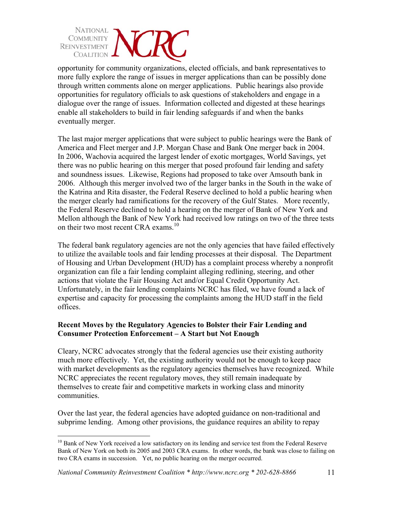

opportunity for community organizations, elected officials, and bank representatives to more fully explore the range of issues in merger applications than can be possibly done through written comments alone on merger applications. Public hearings also provide opportunities for regulatory officials to ask questions of stakeholders and engage in a dialogue over the range of issues. Information collected and digested at these hearings enable all stakeholders to build in fair lending safeguards if and when the banks eventually merger.

The last major merger applications that were subject to public hearings were the Bank of America and Fleet merger and J.P. Morgan Chase and Bank One merger back in 2004. In 2006, Wachovia acquired the largest lender of exotic mortgages, World Savings, yet there was no public hearing on this merger that posed profound fair lending and safety and soundness issues. Likewise, Regions had proposed to take over Amsouth bank in 2006. Although this merger involved two of the larger banks in the South in the wake of the Katrina and Rita disaster, the Federal Reserve declined to hold a public hearing when the merger clearly had ramifications for the recovery of the Gulf States. More recently, the Federal Reserve declined to hold a hearing on the merger of Bank of New York and Mellon although the Bank of New York had received low ratings on two of the three tests on their two most recent CRA exams.<sup>10</sup>

The federal bank regulatory agencies are not the only agencies that have failed effectively to utilize the available tools and fair lending processes at their disposal. The Department of Housing and Urban Development (HUD) has a complaint process whereby a nonprofit organization can file a fair lending complaint alleging redlining, steering, and other actions that violate the Fair Housing Act and/or Equal Credit Opportunity Act. Unfortunately, in the fair lending complaints NCRC has filed, we have found a lack of expertise and capacity for processing the complaints among the HUD staff in the field offices.

## **Recent Moves by the Regulatory Agencies to Bolster their Fair Lending and Consumer Protection Enforcement – A Start but Not Enough**

Cleary, NCRC advocates strongly that the federal agencies use their existing authority much more effectively. Yet, the existing authority would not be enough to keep pace with market developments as the regulatory agencies themselves have recognized. While NCRC appreciates the recent regulatory moves, they still remain inadequate by themselves to create fair and competitive markets in working class and minority communities.

Over the last year, the federal agencies have adopted guidance on non-traditional and subprime lending. Among other provisions, the guidance requires an ability to repay

<sup>1</sup> <sup>10</sup> Bank of New York received a low satisfactory on its lending and service test from the Federal Reserve Bank of New York on both its 2005 and 2003 CRA exams. In other words, the bank was close to failing on two CRA exams in succession. Yet, no public hearing on the merger occurred.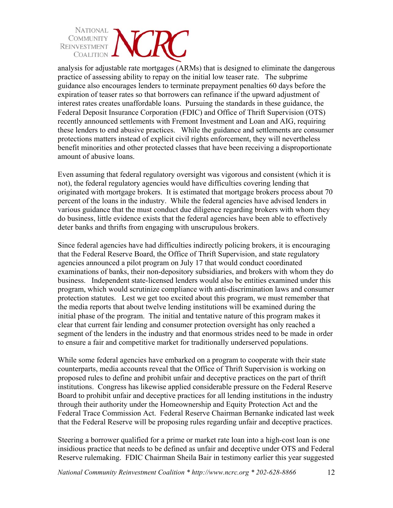

analysis for adjustable rate mortgages (ARMs) that is designed to eliminate the dangerous practice of assessing ability to repay on the initial low teaser rate. The subprime guidance also encourages lenders to terminate prepayment penalties 60 days before the expiration of teaser rates so that borrowers can refinance if the upward adjustment of interest rates creates unaffordable loans. Pursuing the standards in these guidance, the Federal Deposit Insurance Corporation (FDIC) and Office of Thrift Supervision (OTS) recently announced settlements with Fremont Investment and Loan and AIG, requiring these lenders to end abusive practices. While the guidance and settlements are consumer protections matters instead of explicit civil rights enforcement, they will nevertheless benefit minorities and other protected classes that have been receiving a disproportionate amount of abusive loans.

Even assuming that federal regulatory oversight was vigorous and consistent (which it is not), the federal regulatory agencies would have difficulties covering lending that originated with mortgage brokers. It is estimated that mortgage brokers process about 70 percent of the loans in the industry. While the federal agencies have advised lenders in various guidance that the must conduct due diligence regarding brokers with whom they do business, little evidence exists that the federal agencies have been able to effectively deter banks and thrifts from engaging with unscrupulous brokers.

Since federal agencies have had difficulties indirectly policing brokers, it is encouraging that the Federal Reserve Board, the Office of Thrift Supervision, and state regulatory agencies announced a pilot program on July 17 that would conduct coordinated examinations of banks, their non-depository subsidiaries, and brokers with whom they do business. Independent state-licensed lenders would also be entities examined under this program, which would scrutinize compliance with anti-discrimination laws and consumer protection statutes. Lest we get too excited about this program, we must remember that the media reports that about twelve lending institutions will be examined during the initial phase of the program. The initial and tentative nature of this program makes it clear that current fair lending and consumer protection oversight has only reached a segment of the lenders in the industry and that enormous strides need to be made in order to ensure a fair and competitive market for traditionally underserved populations.

While some federal agencies have embarked on a program to cooperate with their state counterparts, media accounts reveal that the Office of Thrift Supervision is working on proposed rules to define and prohibit unfair and deceptive practices on the part of thrift institutions. Congress has likewise applied considerable pressure on the Federal Reserve Board to prohibit unfair and deceptive practices for all lending institutions in the industry through their authority under the Homeownership and Equity Protection Act and the Federal Trace Commission Act. Federal Reserve Chairman Bernanke indicated last week that the Federal Reserve will be proposing rules regarding unfair and deceptive practices.

Steering a borrower qualified for a prime or market rate loan into a high-cost loan is one insidious practice that needs to be defined as unfair and deceptive under OTS and Federal Reserve rulemaking. FDIC Chairman Sheila Bair in testimony earlier this year suggested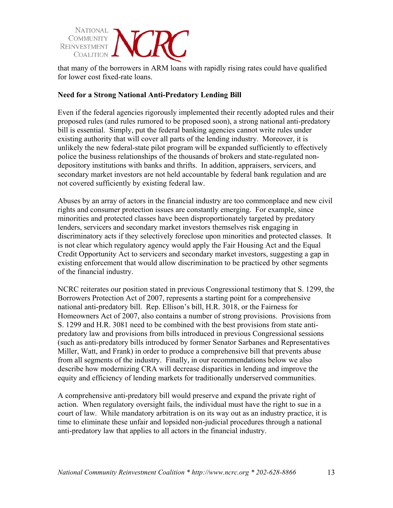

that many of the borrowers in ARM loans with rapidly rising rates could have qualified for lower cost fixed-rate loans.

#### **Need for a Strong National Anti-Predatory Lending Bill**

Even if the federal agencies rigorously implemented their recently adopted rules and their proposed rules (and rules rumored to be proposed soon), a strong national anti-predatory bill is essential. Simply, put the federal banking agencies cannot write rules under existing authority that will cover all parts of the lending industry. Moreover, it is unlikely the new federal-state pilot program will be expanded sufficiently to effectively police the business relationships of the thousands of brokers and state-regulated nondepository institutions with banks and thrifts. In addition, appraisers, servicers, and secondary market investors are not held accountable by federal bank regulation and are not covered sufficiently by existing federal law.

Abuses by an array of actors in the financial industry are too commonplace and new civil rights and consumer protection issues are constantly emerging. For example, since minorities and protected classes have been disproportionately targeted by predatory lenders, servicers and secondary market investors themselves risk engaging in discriminatory acts if they selectively foreclose upon minorities and protected classes. It is not clear which regulatory agency would apply the Fair Housing Act and the Equal Credit Opportunity Act to servicers and secondary market investors, suggesting a gap in existing enforcement that would allow discrimination to be practiced by other segments of the financial industry.

NCRC reiterates our position stated in previous Congressional testimony that S. 1299, the Borrowers Protection Act of 2007, represents a starting point for a comprehensive national anti-predatory bill. Rep. Ellison's bill, H.R. 3018, or the Fairness for Homeowners Act of 2007, also contains a number of strong provisions. Provisions from S. 1299 and H.R. 3081 need to be combined with the best provisions from state antipredatory law and provisions from bills introduced in previous Congressional sessions (such as anti-predatory bills introduced by former Senator Sarbanes and Representatives Miller, Watt, and Frank) in order to produce a comprehensive bill that prevents abuse from all segments of the industry. Finally, in our recommendations below we also describe how modernizing CRA will decrease disparities in lending and improve the equity and efficiency of lending markets for traditionally underserved communities.

A comprehensive anti-predatory bill would preserve and expand the private right of action. When regulatory oversight fails, the individual must have the right to sue in a court of law. While mandatory arbitration is on its way out as an industry practice, it is time to eliminate these unfair and lopsided non-judicial procedures through a national anti-predatory law that applies to all actors in the financial industry.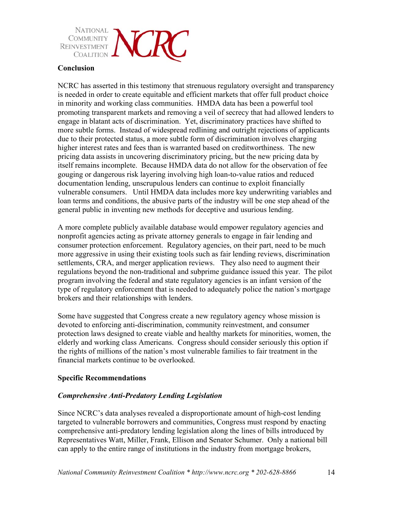

#### **Conclusion**

NCRC has asserted in this testimony that strenuous regulatory oversight and transparency is needed in order to create equitable and efficient markets that offer full product choice in minority and working class communities. HMDA data has been a powerful tool promoting transparent markets and removing a veil of secrecy that had allowed lenders to engage in blatant acts of discrimination. Yet, discriminatory practices have shifted to more subtle forms. Instead of widespread redlining and outright rejections of applicants due to their protected status, a more subtle form of discrimination involves charging higher interest rates and fees than is warranted based on creditworthiness. The new pricing data assists in uncovering discriminatory pricing, but the new pricing data by itself remains incomplete. Because HMDA data do not allow for the observation of fee gouging or dangerous risk layering involving high loan-to-value ratios and reduced documentation lending, unscrupulous lenders can continue to exploit financially vulnerable consumers. Until HMDA data includes more key underwriting variables and loan terms and conditions, the abusive parts of the industry will be one step ahead of the general public in inventing new methods for deceptive and usurious lending.

A more complete publicly available database would empower regulatory agencies and nonprofit agencies acting as private attorney generals to engage in fair lending and consumer protection enforcement. Regulatory agencies, on their part, need to be much more aggressive in using their existing tools such as fair lending reviews, discrimination settlements, CRA, and merger application reviews. They also need to augment their regulations beyond the non-traditional and subprime guidance issued this year. The pilot program involving the federal and state regulatory agencies is an infant version of the type of regulatory enforcement that is needed to adequately police the nation's mortgage brokers and their relationships with lenders.

Some have suggested that Congress create a new regulatory agency whose mission is devoted to enforcing anti-discrimination, community reinvestment, and consumer protection laws designed to create viable and healthy markets for minorities, women, the elderly and working class Americans. Congress should consider seriously this option if the rights of millions of the nation's most vulnerable families to fair treatment in the financial markets continue to be overlooked.

## **Specific Recommendations**

#### *Comprehensive Anti-Predatory Lending Legislation*

Since NCRC's data analyses revealed a disproportionate amount of high-cost lending targeted to vulnerable borrowers and communities, Congress must respond by enacting comprehensive anti-predatory lending legislation along the lines of bills introduced by Representatives Watt, Miller, Frank, Ellison and Senator Schumer. Only a national bill can apply to the entire range of institutions in the industry from mortgage brokers,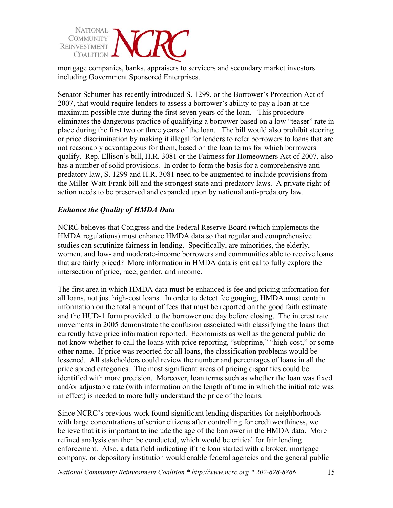

mortgage companies, banks, appraisers to servicers and secondary market investors including Government Sponsored Enterprises.

Senator Schumer has recently introduced S. 1299, or the Borrower's Protection Act of 2007, that would require lenders to assess a borrower's ability to pay a loan at the maximum possible rate during the first seven years of the loan. This procedure eliminates the dangerous practice of qualifying a borrower based on a low "teaser" rate in place during the first two or three years of the loan. The bill would also prohibit steering or price discrimination by making it illegal for lenders to refer borrowers to loans that are not reasonably advantageous for them, based on the loan terms for which borrowers qualify. Rep. Ellison's bill, H.R. 3081 or the Fairness for Homeowners Act of 2007, also has a number of solid provisions. In order to form the basis for a comprehensive antipredatory law, S. 1299 and H.R. 3081 need to be augmented to include provisions from the Miller-Watt-Frank bill and the strongest state anti-predatory laws. A private right of action needs to be preserved and expanded upon by national anti-predatory law.

## *Enhance the Quality of HMDA Data*

NCRC believes that Congress and the Federal Reserve Board (which implements the HMDA regulations) must enhance HMDA data so that regular and comprehensive studies can scrutinize fairness in lending. Specifically, are minorities, the elderly, women, and low- and moderate-income borrowers and communities able to receive loans that are fairly priced? More information in HMDA data is critical to fully explore the intersection of price, race, gender, and income.

The first area in which HMDA data must be enhanced is fee and pricing information for all loans, not just high-cost loans. In order to detect fee gouging, HMDA must contain information on the total amount of fees that must be reported on the good faith estimate and the HUD-1 form provided to the borrower one day before closing. The interest rate movements in 2005 demonstrate the confusion associated with classifying the loans that currently have price information reported. Economists as well as the general public do not know whether to call the loans with price reporting, "subprime," "high-cost," or some other name. If price was reported for all loans, the classification problems would be lessened. All stakeholders could review the number and percentages of loans in all the price spread categories. The most significant areas of pricing disparities could be identified with more precision. Moreover, loan terms such as whether the loan was fixed and/or adjustable rate (with information on the length of time in which the initial rate was in effect) is needed to more fully understand the price of the loans.

Since NCRC's previous work found significant lending disparities for neighborhoods with large concentrations of senior citizens after controlling for creditworthiness, we believe that it is important to include the age of the borrower in the HMDA data. More refined analysis can then be conducted, which would be critical for fair lending enforcement. Also, a data field indicating if the loan started with a broker, mortgage company, or depository institution would enable federal agencies and the general public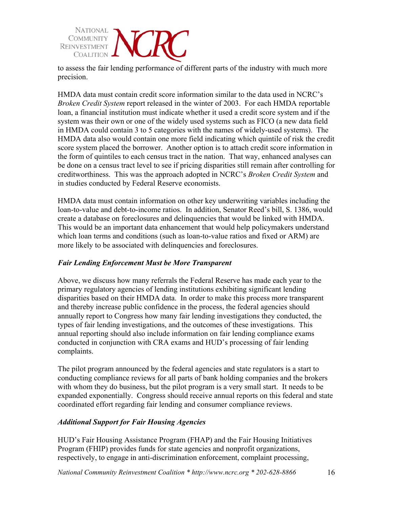

to assess the fair lending performance of different parts of the industry with much more precision.

HMDA data must contain credit score information similar to the data used in NCRC's *Broken Credit System* report released in the winter of 2003. For each HMDA reportable loan, a financial institution must indicate whether it used a credit score system and if the system was their own or one of the widely used systems such as FICO (a new data field in HMDA could contain 3 to 5 categories with the names of widely-used systems). The HMDA data also would contain one more field indicating which quintile of risk the credit score system placed the borrower. Another option is to attach credit score information in the form of quintiles to each census tract in the nation. That way, enhanced analyses can be done on a census tract level to see if pricing disparities still remain after controlling for creditworthiness. This was the approach adopted in NCRC's *Broken Credit System* and in studies conducted by Federal Reserve economists.

HMDA data must contain information on other key underwriting variables including the loan-to-value and debt-to-income ratios. In addition, Senator Reed's bill, S. 1386, would create a database on foreclosures and delinquencies that would be linked with HMDA. This would be an important data enhancement that would help policymakers understand which loan terms and conditions (such as loan-to-value ratios and fixed or ARM) are more likely to be associated with delinquencies and foreclosures.

# *Fair Lending Enforcement Must be More Transparent*

Above, we discuss how many referrals the Federal Reserve has made each year to the primary regulatory agencies of lending institutions exhibiting significant lending disparities based on their HMDA data. In order to make this process more transparent and thereby increase public confidence in the process, the federal agencies should annually report to Congress how many fair lending investigations they conducted, the types of fair lending investigations, and the outcomes of these investigations. This annual reporting should also include information on fair lending compliance exams conducted in conjunction with CRA exams and HUD's processing of fair lending complaints.

The pilot program announced by the federal agencies and state regulators is a start to conducting compliance reviews for all parts of bank holding companies and the brokers with whom they do business, but the pilot program is a very small start. It needs to be expanded exponentially. Congress should receive annual reports on this federal and state coordinated effort regarding fair lending and consumer compliance reviews.

## *Additional Support for Fair Housing Agencies*

HUD's Fair Housing Assistance Program (FHAP) and the Fair Housing Initiatives Program (FHIP) provides funds for state agencies and nonprofit organizations, respectively, to engage in anti-discrimination enforcement, complaint processing,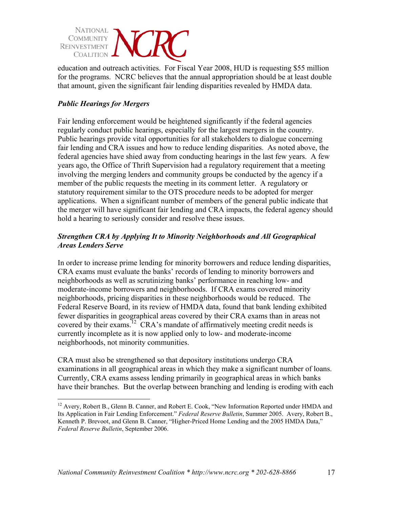

education and outreach activities. For Fiscal Year 2008, HUD is requesting \$55 million for the programs. NCRC believes that the annual appropriation should be at least double that amount, given the significant fair lending disparities revealed by HMDA data.

# *Public Hearings for Mergers*

 $\overline{a}$ 

Fair lending enforcement would be heightened significantly if the federal agencies regularly conduct public hearings, especially for the largest mergers in the country. Public hearings provide vital opportunities for all stakeholders to dialogue concerning fair lending and CRA issues and how to reduce lending disparities. As noted above, the federal agencies have shied away from conducting hearings in the last few years. A few years ago, the Office of Thrift Supervision had a regulatory requirement that a meeting involving the merging lenders and community groups be conducted by the agency if a member of the public requests the meeting in its comment letter. A regulatory or statutory requirement similar to the OTS procedure needs to be adopted for merger applications. When a significant number of members of the general public indicate that the merger will have significant fair lending and CRA impacts, the federal agency should hold a hearing to seriously consider and resolve these issues.

# *Strengthen CRA by Applying It to Minority Neighborhoods and All Geographical Areas Lenders Serve*

In order to increase prime lending for minority borrowers and reduce lending disparities, CRA exams must evaluate the banks' records of lending to minority borrowers and neighborhoods as well as scrutinizing banks' performance in reaching low- and moderate-income borrowers and neighborhoods. If CRA exams covered minority neighborhoods, pricing disparities in these neighborhoods would be reduced. The Federal Reserve Board, in its review of HMDA data, found that bank lending exhibited fewer disparities in geographical areas covered by their CRA exams than in areas not covered by their exams.<sup>12</sup> CRA's mandate of affirmatively meeting credit needs is currently incomplete as it is now applied only to low- and moderate-income neighborhoods, not minority communities.

CRA must also be strengthened so that depository institutions undergo CRA examinations in all geographical areas in which they make a significant number of loans. Currently, CRA exams assess lending primarily in geographical areas in which banks have their branches. But the overlap between branching and lending is eroding with each

<sup>&</sup>lt;sup>12</sup> Avery, Robert B., Glenn B. Canner, and Robert E. Cook, "New Information Reported under HMDA and Its Application in Fair Lending Enforcement." *Federal Reserve Bulletin*, Summer 2005. Avery, Robert B., Kenneth P. Brevoot, and Glenn B. Canner, "Higher-Priced Home Lending and the 2005 HMDA Data," *Federal Reserve Bulletin*, September 2006.